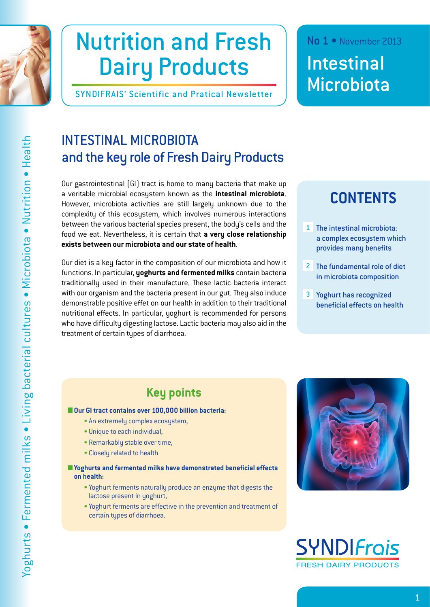

# Nutrition and Fresh Dairy Products

SYNDIFRAIS' Scientific and Pratical Newsletter

### No 1 • November 2013

Intestinal **Microbiota** 

## INTESTINAL MICROBIOTA and the key role of Fresh Dairy Products

Our gastrointestinal (GI) tract is home to many bacteria that make up a veritable microbial ecosystem known as the **intestinal microbiota**. However, microbiota activities are still largely unknown due to the complexity of this ecosystem, which involves numerous interactions between the various bacterial species present, the body's cells and the food we eat. Nevertheless, it is certain that **a very close relationship exists between our microbiota and our state of health**.

Our diet is a key factor in the composition of our microbiota and how it functions. In particular, **yoghurts and fermented milks** contain bacteria traditionally used in their manufacture. These lactic bacteria interact with our organism and the bacteria present in our gut. They also induce demonstrable positive effet on our health in addition to their traditional nutritional effects. In particular, yoghurt is recommended for persons who have difficulty digesting lactose. Lactic bacteria may also aid in the treatment of certain types of diarrhoea.

## **CONTENTS**

- [1 The intestinal microbiota:](#page-1-0)  [a complex ecosystem which](#page-1-0)  [provides many benefits](#page-1-0)
- 2 [The fundamental role of diet](#page-4-0)  [in microbiota composition](#page-4-0)
- 3 [Yoghurt has recognized](#page-5-0)  [beneficial effects on health](#page-5-0)

## **Key points**

### **Our GI tract contains over 100,000 billion bacteria:**

- An extremely complex ecosystem,
- Unique to each individual,
- Remarkably stable over time,
- Closely related to health.
- **Yoghurts and fermented milks have demonstrated beneficial effects on health:**
	- Yoghurt ferments naturally produce an enzyme that digests the lactose present in yoghurt,
	- Yoghurt ferments are effective in the prevention and treatment of certain types of diarrhoea.



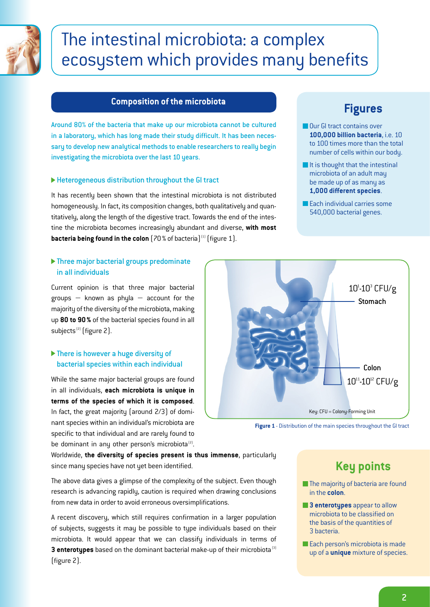<span id="page-1-0"></span>

## The intestinal microbiota: a complex ecosystem which provides many benefits

### **Composition of the microbiota**

Around 80% of the bacteria that make up our microbiota cannot be cultured in a laboratory, which has long made their study difficult. It has been necessary to develop new analytical methods to enable researchers to really begin investigating the microbiota over the last 10 years.

### Heterogeneous distribution throughout the GI tract

It has recently been shown that the intestinal microbiota is not distributed homogeneously. In fact, its composition changes, both qualitatively and quantitatively, along the length of the digestive tract. Towards the end of the intestine the microbiota becomes increasingly abundant and diverse, **with most bacteria being found in the colon** [70% of bacteria]<sup>(1)</sup> [figure 1].

### Three major bacterial groups predominate in all individuals

Current opinion is that three major bacterial groups  $-$  known as phyla  $-$  account for the majority of the diversity of the microbiota, making up **80 to 90%** of the bacterial species found in all subjects<sup>(2)</sup> (figure 2).

### ▶ There is however a huge diversity of bacterial species within each individual

While the same major bacterial groups are found in all individuals, **each microbiota is unique in terms of the species of which it is composed**. In fact, the great majority (around 2/3) of dominant species within an individual's microbiota are specific to that individual and are rarely found to be dominant in any other person's microbiota $^{[2]}$ . Key: CFU = Colony-Forming Unit **Stomach** Colon  $10^{1}$ -10 $^{3}$  CFU/g  $10^{11} - 10^{12}$  CFU/g

**Figure 1** - Distribution of the main species throughout the GI tract

Worldwide, **the diversity of species present is thus immense**, particularly since many species have not yet been identified.

The above data gives a glimpse of the complexity of the subject. Even though research is advancing rapidly, caution is required when drawing conclusions from new data in order to avoid erroneous oversimplifications.

A recent discovery, which still requires confirmation in a larger population of subjects, suggests it may be possible to type individuals based on their microbiota. It would appear that we can classify individuals in terms of **3 enterotypes** based on the dominant bacterial make-up of their microbiota<sup>(3)</sup> (figure 2).

## **Key points**

- **The majority of bacteria are found** in the **colon**.
- **3 enterotypes** appear to allow microbiota to be classified on the basis of the quantities of 3 bacteria.
- Each person's microbiota is made up of a **unique** mixture of species.

## **Figures**

- Our GI tract contains over **100,000 billion bacteria**, i.e. 10 to 100 times more than the total number of cells within our body.
- $\blacksquare$  It is thought that the intestinal microbiota of an adult may be made up of as many as **1,000 different species**.
- **Each individual carries some** 540,000 bacterial genes.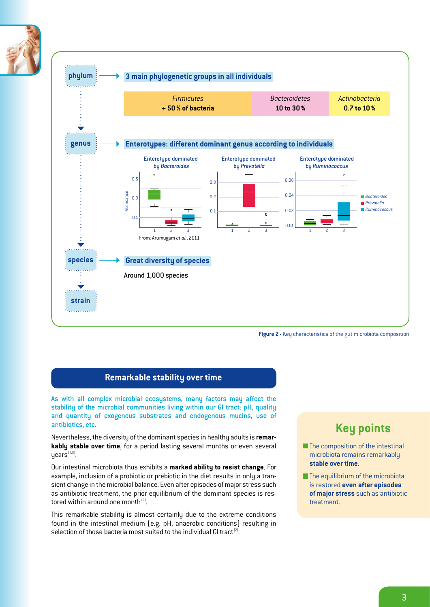



**Figure 2** - Key characteristics of the gut microbiota composition

### **Remarkable stability over time**

As with all complex microbial ecosystems, many factors may affect the stability of the microbial communities living within our GI tract: pH, quality and quantity of exogenous substrates and endogenous mucins, use of antibiotics, etc.

Nevertheless, the diversity of the dominant species in healthy adults is **remarkably stable over time**, for a period lasting several months or even several  $years<sup>{4,5}</sup>$ .

Our intestinal microbiota thus exhibits a **marked ability to resist change**. For example, inclusion of a probiotic or prebiotic in the diet results in only a transient change in the microbial balance. Even after episodes of major stress such as antibiotic treatment, the prior equilibrium of the dominant species is restored within around one month $^{[6]}$ .

This remarkable stability is almost certainly due to the extreme conditions found in the intestinal medium (e.g. pH, anaerobic conditions) resulting in selection of those bacteria most suited to the individual GI tract<sup>(7)</sup>.

### **Key points**

- $\blacksquare$  The composition of the intestinal microbiota remains remarkably **stable over time**.
- $\blacksquare$  The equilibrium of the microbiota is restored **even after episodes of major stress** such as antibiotic treatment.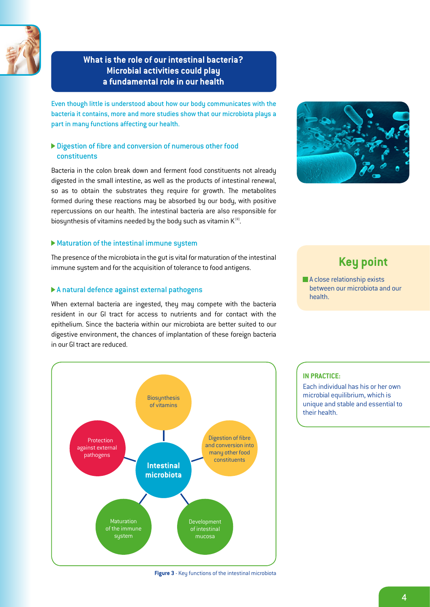

### **What is the role of our intestinal bacteria? Microbial activities could play a fundamental role in our health**

Even though little is understood about how our body communicates with the bacteria it contains, more and more studies show that our microbiota plays a part in many functions affecting our health.

### Digestion of fibre and conversion of numerous other food constituents

Bacteria in the colon break down and ferment food constituents not already digested in the small intestine, as well as the products of intestinal renewal, so as to obtain the substrates they require for growth. The metabolites formed during these reactions may be absorbed by our body, with positive repercussions on our health. The intestinal bacteria are also responsible for biosynthesis of vitamins needed by the body such as vitamin  $K^{(8)}$ .

### Maturation of the intestinal immune system

The presence of the microbiota in the gut is vital for maturation of the intestinal immune system and for the acquisition of tolerance to food antigens.

### A natural defence against external pathogens

When external bacteria are ingested, they may compete with the bacteria resident in our GI tract for access to nutrients and for contact with the epithelium. Since the bacteria within our microbiota are better suited to our digestive environment, the chances of implantation of these foreign bacteria in our GI tract are reduced.



## **Key point**

A close relationship exists between our microbiota and our health.



#### **Figure 3** - Key functions of the intestinal microbiota

### **IN PRACTICE:**

Each individual has his or her own microbial equilibrium, which is unique and stable and essential to their health.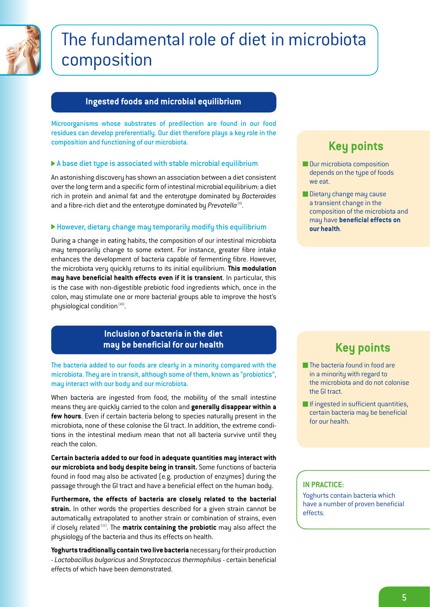<span id="page-4-0"></span>

## The fundamental role of diet in microbiota composition

### **Ingested foods and microbial equilibrium**

Microorganisms whose substrates of predilection are found in our food residues can develop preferentially. Our diet therefore plays a key role in the composition and functioning of our microbiota.

### A base diet type is associated with stable microbial equilibrium

An astonishing discovery has shown an association between a diet consistent over the long term and a specific form of intestinal microbial equilibrium: a diet rich in protein and animal fat and the enterotype dominated by *Bacteroides* and a fibre-rich diet and the enterotype dominated by Prevotella<sup>(9)</sup>.

### However, dietary change may temporarily modify this equilibrium

During a change in eating habits, the composition of our intestinal microbiota may temporarily change to some extent. For instance, greater fibre intake enhances the development of bacteria capable of fermenting fibre. However, the microbiota very quickly returns to its initial equilibrium. **This modulation may have beneficial health effects even if it is transient**. In particular, this is the case with non-digestible prebiotic food ingredients which, once in the colon, may stimulate one or more bacterial groups able to improve the host's physiological condition<sup>(10)</sup>.

### **Inclusion of bacteria in the diet may be beneficial for our health**

The bacteria added to our foods are clearly in a minority compared with the microbiota. They are in transit, although some of them, known as "probiotics", may interact with our body and our microbiota.

When bacteria are ingested from food, the mobility of the small intestine means they are quickly carried to the colon and **generally disappear within a few hours**. Even if certain bacteria belong to species naturally present in the microbiota, none of these colonise the GI tract. In addition, the extreme conditions in the intestinal medium mean that not all bacteria survive until they reach the colon.

**Certain bacteria added to our food in adequate quantities may interact with our microbiota and body despite being in transit.** Some functions of bacteria found in food may also be activated (e.g. production of enzymes) during the passage through the GI tract and have a beneficial effect on the human body.

**Furthermore, the effects of bacteria are closely related to the bacterial strain.** In other words the properties described for a given strain cannot be automatically extrapolated to another strain or combination of strains, even if closely related (11). The **matrix containing the probiotic** may also affect the physiology of the bacteria and thus its effects on health.

**Yoghurts traditionally contain two live bacteria** necessary for their production - *Lactobacillus bulgaricus* and *Streptococcus thermophilus* - certain beneficial effects of which have been demonstrated.

## **Key points**

- **Our microbiota composition** depends on the type of foods we eat.
- Dietary change may cause a transient change in the composition of the microbiota and may have **beneficial effects on our health**.

## **Key points**

- **The bacteria found in food are** in a minority with regard to the microbiota and do not colonise the GI tract.
- **If ingested in sufficient quantities,** certain bacteria may be beneficial for our health.

### **IN PRACTICE:**

Yoghurts contain bacteria which have a number of proven beneficial effects.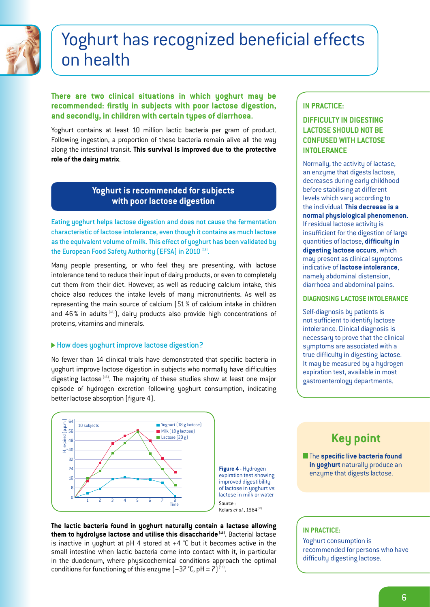<span id="page-5-0"></span>

## Yoghurt has recognized beneficial effects on health

### **There are two clinical situations in which yoghurt may be recommended: firstly in subjects with poor lactose digestion, and secondly, in children with certain types of diarrhoea.**

Yoghurt contains at least 10 million lactic bacteria per gram of product. Following ingestion, a proportion of these bacteria remain alive all the way along the intestinal transit. **This survival is improved due to the protective role of the dairy matrix**.

### **Yoghurt is recommended for subjects with poor lactose digestion**

Eating yoghurt helps lactose digestion and does not cause the fermentation characteristic of lactose intolerance, even though it contains as much lactose as the equivalent volume of milk. This effect of yoghurt has been validated by the European Food Safety Authority (EFSA) in 2010<sup>(13)</sup>.

Many people presenting, or who feel they are presenting, with lactose intolerance tend to reduce their input of dairy products, or even to completely cut them from their diet. However, as well as reducing calcium intake, this choice also reduces the intake levels of many micronutrients. As well as representing the main source of calcium (51% of calcium intake in children and  $46\%$  in adults  $[14]$ , dairy products also provide high concentrations of proteins, vitamins and minerals.

### How does yoghurt improve lactose digestion?

No fewer than 14 clinical trials have demonstrated that specific bacteria in yoghurt improve lactose digestion in subjects who normally have difficulties digesting lactose<sup>(15)</sup>. The majority of these studies show at least one major episode of hydrogen excretion following yoghurt consumption, indicating better lactose absorption (figure 4).

in the duodenum, where phusicochemical conditions approach the optimal



conditions for functioning of this enzyme  $(+37 \degree C, pH = 7)^{(17)}$ .

Source : Kolars *et al.*, 1984 (17) **The lactic bacteria found in yoghurt naturally contain a lactase allowing them to hydrolyse lactose and utilise this disaccharide (16).** Bacterial lactase is inactive in yoghurt at pH 4 stored at  $+4$  °C but it becomes active in the small intestine when lactic bacteria come into contact with it, in particular

### **IN PRACTICE:**

### **DIFFICULTY IN DIGESTING LACTOSE SHOULD NOT BE CONFUSED WITH LACTOSE INTOLERANCE**

Normally, the activity of lactase, an enzyme that digests lactose, decreases during early childhood before stabilising at different levels which vary according to the individual. **This decrease is a normal physiological phenomenon**. If residual lactose activity is insufficient for the digestion of large quantities of lactose, **difficulty in digesting lactose occurs**, which may present as clinical symptoms indicative of **lactose intolerance**, namely abdominal distension, diarrhoea and abdominal pains.

### **DIAGNOSING LACTOSE INTOLERANCE**

Self-diagnosis by patients is not sufficient to identify lactose intolerance. Clinical diagnosis is necessary to prove that the clinical symptoms are associated with a true difficulty in digesting lactose. It may be measured by a hydrogen expiration test, available in most gastroenterology departments.

## **Key point**

**The specific live bacteria found in yoghurt** naturally produce an enzyme that digests lactose.

### **IN PRACTICE:**

Yoghurt consumption is recommended for persons who have difficulty digesting lactose.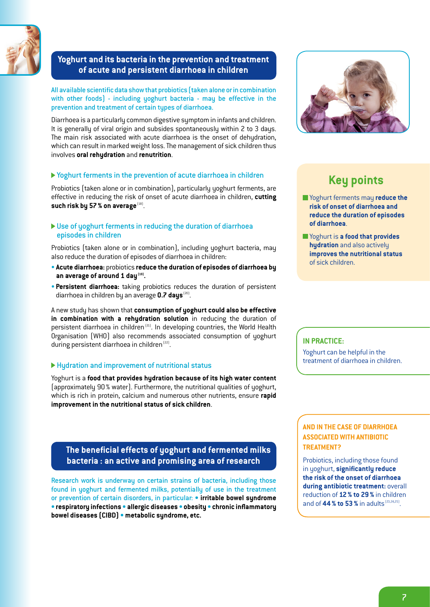

### **Yoghurt and its bacteria in the prevention and treatment of acute and persistent diarrhoea in children**

All available scientific data show that probiotics (taken alone or in combination with other foods) - including yoghurt bacteria - may be effective in the prevention and treatment of certain types of diarrhoea.

Diarrhoea is a particularly common digestive symptom in infants and children. It is generally of viral origin and subsides spontaneously within 2 to 3 days. The main risk associated with acute diarrhoea is the onset of dehydration, which can result in marked weight loss. The management of sick children thus involves **oral rehydration** and **renutrition**.

### Yoghurt ferments in the prevention of acute diarrhoea in children

Probiotics (taken alone or in combination), particularly yoghurt ferments, are effective in reducing the risk of onset of acute diarrhoea in children, **cutting**  such risk by 57 % on average [18].

### Use of yoghurt ferments in reducing the duration of diarrhoea episodes in children

Probiotics (taken alone or in combination), including yoghurt bacteria, may also reduce the duration of episodes of diarrhoea in children:

- **Acute diarrhoea:** probiotics **reduce the duration of episodes of diarrhoea by**  an average of around 1 day<sup>(19)</sup>.
- **Persistent diarrhoea:** taking probiotics reduces the duration of persistent diarrhoea in children by an average **0.7 days** (20).

A new study has shown that **consumption of yoghurt could also be effective in combination with a rehydration solution** in reducing the duration of persistent diarrhoea in children<sup>(21)</sup>. In developing countries, the World Health Organisation (WHO) also recommends associated consumption of yoghurt during persistent diarrhoea in children<sup>(22)</sup>.

### Hydration and improvement of nutritional status

Yoghurt is a **food that provides hydration because of its high water content** (approximately 90% water). Furthermore, the nutritional qualities of yoghurt, which is rich in protein, calcium and numerous other nutrients, ensure **rapid improvement in the nutritional status of sick children**.

### **The beneficial effects of yoghurt and fermented milks bacteria : an active and promising area of research**

Research work is underway on certain strains of bacteria, including those found in yoghurt and fermented milks, potentially of use in the treatment or prevention of certain disorders, in particular: **• irritable bowel syndrome • respiratory infections • allergic diseases • obesity • chronic inflammatory bowel diseases (CIBD) • metabolic syndrome, etc.**



## **Key points**

- Yoghurt ferments may **reduce the risk of onset of diarrhoea and reduce the duration of episodes of diarrhoea**.
- Yoghurt is **a food that provides hydration** and also actively **improves the nutritional status** of sick children.

### **IN PRACTICE:**

Yoghurt can be helpful in the treatment of diarrhoea in children.

### **AND IN THE CASE OF DIARRHOEA ASSOCIATED WITH ANTIBIOTIC TREATMENT?**

Probiotics, including those found in yoghurt, **significantly reduce the risk of the onset of diarrhoea during antibiotic treatment:** overall reduction of **12% to 29%** in children and of **44 % to 53 %** in adults <sup>(23,24,25)</sup>.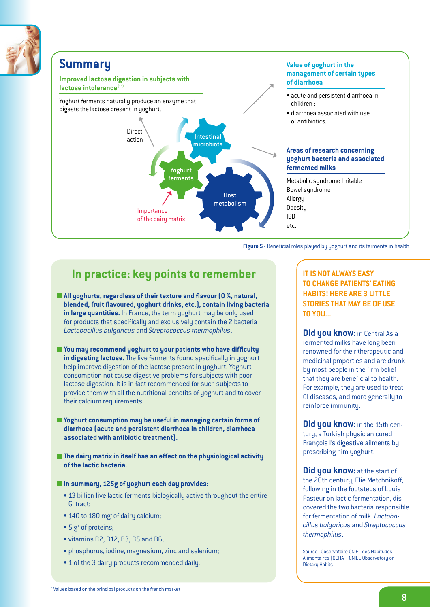

### **Summary**

**Improved lactose digestion in subjects with**  lactose intolerance<sup>(13)</sup>

Yoghurt ferments naturally produce an enzyme that digests the lactose present in yoghurt.



### **Value of yoghurt in the management of certain types of diarrhoea**

- acute and persistent diarrhoea in children ;
- diarrhoea associated with use of antibiotics.

### **Areas of research concerning yoghurt bacteria and associated fermented milks**

Metabolic syndrome Irritable Bowel syndrome Allergy **Obesity** IBD etc.

**Figure 5** - Beneficial roles played by yoghurt and its ferments in health

## **In practice: key points to remember**

- **All yoghurts, regardless of their texture and flavour (0 %, natural, blended, fruit flavoured, yoghurt drinks, etc.), contain living bacteria in large quantities.** In France, the term yoghurt may be only used for products that specifically and exclusively contain the 2 bacteria *Lactobacillus bulgaricus* and *Streptococcus thermophilus*.
- **You may recommend yoghurt to your patients who have difficulty in digesting lactose.** The live ferments found specifically in yoghurt help improve digestion of the lactose present in yoghurt. Yoghurt consomption not cause digestive problems for subjects with poor lactose digestion. It is in fact recommended for such subjects to provide them with all the nutritional benefits of yoghurt and to cover their calcium requirements.
- **Yoghurt consumption may be useful in managing certain forms of diarrhoea (acute and persistent diarrhoea in children, diarrhoea associated with antibiotic treatment).**
- **The dairy matrix in itself has an effect on the physiological activity of the lactic bacteria.**

### **In summary, 125g of yoghurt each day provides:**

- 13 billion live lactic ferments biologically active throughout the entire GI tract;
- 140 to 180 mg<sup>ª</sup> of dairy calcium;
- $\bullet$  5 g<sup>ª</sup> of proteins;
- vitamins B2, B12, B3, B5 and B6;
- phosphorus, iodine, magnesium, zinc and selenium;
- 1 of the 3 dairy products recommended daily.

**IT IS NOT ALWAYS EASY TO CHANGE PATIENTS' EATING HABITS! HERE ARE 3 LITTLE STORIES THAT MAY BE OF USE TO YOU...**

**Did you know:** in Central Asia fermented milks have long been renowned for their therapeutic and medicinal properties and are drunk by most people in the firm belief that they are beneficial to health. For example, they are used to treat GI diseases, and more generally to reinforce immunity.

**Did you know:** in the 15th century, a Turkish physician cured François I's digestive ailments by prescribing him yoghurt.

**Did you know:** at the start of the 20th century, Elie Metchnikoff, following in the footsteps of Louis Pasteur on lactic fermentation, discovered the two bacteria responsible for fermentation of milk: *Lactobacillus bulgaricus* and *Streptococcus thermophilus*.

Source : Observatoire CNIEL des Habitudes Alimentaires (OCHA – CNIEL Observatory on Dietary Habits)